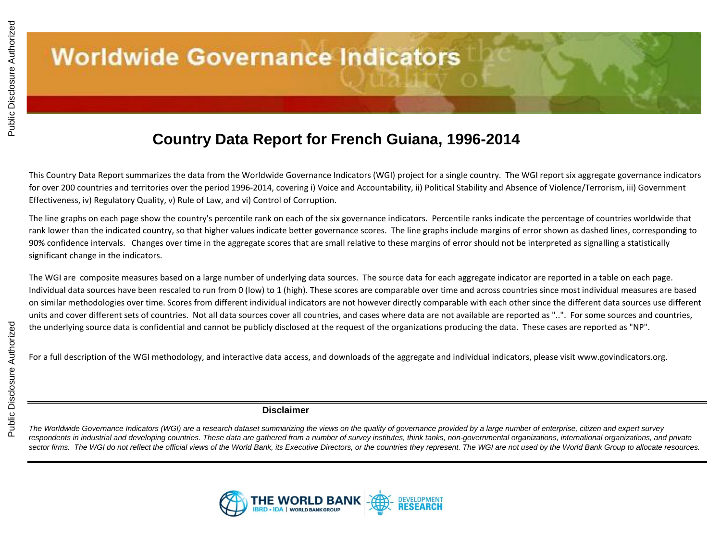### **Country Data Report for French Guiana, 1996-2014**

This Country Data Report summarizes the data from the Worldwide Governance Indicators (WGI) project for a single country. The WGI report six aggregate governance indicators for over 200 countries and territories over the period 1996-2014, covering i) Voice and Accountability, ii) Political Stability and Absence of Violence/Terrorism, iii) Government Effectiveness, iv) Regulatory Quality, v) Rule of Law, and vi) Control of Corruption.

The line graphs on each page show the country's percentile rank on each of the six governance indicators. Percentile ranks indicate the percentage of countries worldwide that rank lower than the indicated country, so that higher values indicate better governance scores. The line graphs include margins of error shown as dashed lines, corresponding to 90% confidence intervals. Changes over time in the aggregate scores that are small relative to these margins of error should not be interpreted as signalling a statistically significant change in the indicators.

The WGI are composite measures based on a large number of underlying data sources. The source data for each aggregate indicator are reported in a table on each page. Individual data sources have been rescaled to run from 0 (low) to 1 (high). These scores are comparable over time and across countries since most individual measures are based on similar methodologies over time. Scores from different individual indicators are not however directly comparable with each other since the different data sources use different units and cover different sets of countries. Not all data sources cover all countries, and cases where data are not available are reported as "..". For some sources and countries, the underlying source data is confidential and cannot be publicly disclosed at the request of the organizations producing the data. These cases are reported as "NP".

For a full description of the WGI methodology, and interactive data access, and downloads of the aggregate and individual indicators, please visit www.govindicators.org.

#### **Disclaimer**

*The Worldwide Governance Indicators (WGI) are a research dataset summarizing the views on the quality of governance provided by a large number of enterprise, citizen and expert survey*  respondents in industrial and developing countries. These data are gathered from a number of survey institutes, think tanks, non-governmental organizations, international organizations, and private *sector firms. The WGI do not reflect the official views of the World Bank, its Executive Directors, or the countries they represent. The WGI are not used by the World Bank Group to allocate resources.*

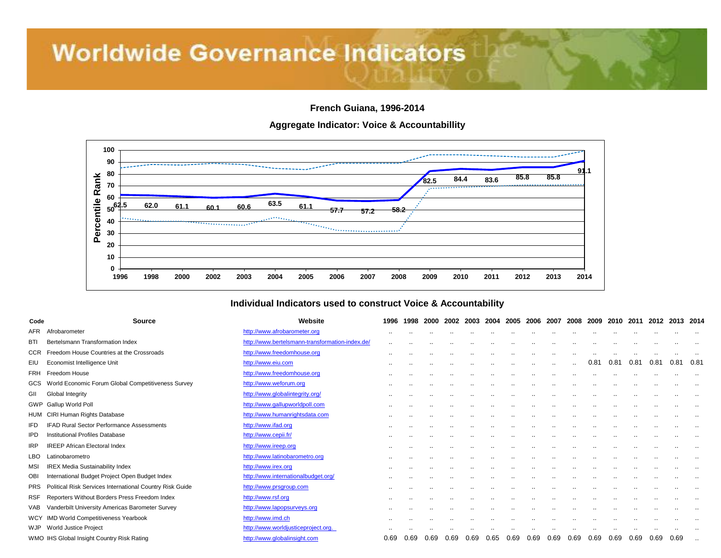**French Guiana, 1996-2014**

**Aggregate Indicator: Voice & Accountabillity**



#### **Individual Indicators used to construct Voice & Accountability**

| Code       | <b>Source</b>                                            | Website                                         | 1996      | 1998          | 2000      | 2002      | 2003      | 2004          | 2005                 | 2006                 | 2007                 | 2008          | 2009      | 2010                 | 2011                 | 2012                 | 2013 2014            |           |
|------------|----------------------------------------------------------|-------------------------------------------------|-----------|---------------|-----------|-----------|-----------|---------------|----------------------|----------------------|----------------------|---------------|-----------|----------------------|----------------------|----------------------|----------------------|-----------|
| AFR        | Afrobarometer                                            | http://www.afrobarometer.org                    | $\cdot$ . |               |           | $\cdot$ . | $\cdot$ . | $\cdot$ .     | $\ddot{\phantom{a}}$ | $\ddot{\phantom{a}}$ | $\ddot{\phantom{a}}$ |               | $\cdot$ . |                      |                      |                      |                      |           |
| <b>BTI</b> | Bertelsmann Transformation Index                         | http://www.bertelsmann-transformation-index.de/ | $\cdot$ . |               |           |           |           |               |                      |                      | $\cdot$ .            |               | $\cdot$ . |                      |                      |                      | $\cdot$ .            |           |
| <b>CCR</b> | Freedom House Countries at the Crossroads                | http://www.freedomhouse.org                     | $\cdot$ . |               |           |           |           |               | $\cdot$ .            | $\cdot$ .            |                      |               |           |                      |                      |                      |                      |           |
| EIU        | Economist Intelligence Unit                              | http://www.eiu.com                              |           |               |           |           |           |               | $\ddot{\phantom{a}}$ |                      | $\ddot{\phantom{a}}$ |               | 0.81      | 0.81                 | 0.81                 | 0.81                 | 0.81                 | 0.81      |
| FRH        | Freedom House                                            | http://www.freedomhouse.org                     | $\cdot$ . | $\cdot$ .     | $\cdot$ . | $\cdot$ . | $\cdot$ . | $\sim$        | $\ddot{\phantom{a}}$ |                      | $\ddot{\phantom{a}}$ | $\cdot$ .     | $\cdot$ . | $\cdot$ .            | $\ddot{\phantom{a}}$ | $\cdot$ .            | $\cdot$ .            |           |
|            | GCS World Economic Forum Global Competitiveness Survey   | http://www.weforum.org                          | $\cdot$ . |               |           |           |           |               |                      |                      | $\cdot$ .            |               | $\cdot$ . |                      |                      | $\cdot$ .            | $\cdot$ .            |           |
| GII        | Global Integrity                                         | http://www.globalintegrity.org/                 |           |               |           |           |           |               | $\cdot$ .            |                      | $\cdot$ .            |               | $\cdot$ . |                      | $\cdot$ .            | $\cdot$ .            | $\cdot$ .            |           |
|            | <b>GWP</b> Gallup World Poll                             | http://www.gallupworldpoll.com                  | $\sim$    | $\cdot$ .     | $\cdot$ . | $\cdot$ . | $\cdot$ . | $\sim$        | $\ddot{\phantom{a}}$ | $\cdot$ .            | $\ddot{\phantom{a}}$ |               | $\cdot$ . | $\ddot{\phantom{a}}$ |                      |                      | $\ddot{\phantom{a}}$ |           |
|            | HUM CIRI Human Rights Database                           | http://www.humanrightsdata.com                  | $\sim$    |               | $\cdot$ . | $\cdot$ . | $\cdot$ . | $\cdot$ .     | $\cdot$ .            | $\cdot$ .            | $\ddot{\phantom{a}}$ |               | $\cdot$ . | $\cdot$ .            |                      | $\cdot$ .            | $\cdot$ .            |           |
| IFD        | <b>IFAD Rural Sector Performance Assessments</b>         | http://www.ifad.org                             |           |               |           |           |           |               |                      |                      | $\cdot$ .            | $\cdot$ .     |           |                      | $\cdot$ .            | $\ddot{\phantom{a}}$ |                      | $\cdot$ . |
| <b>IPD</b> | <b>Institutional Profiles Database</b>                   | http://www.cepii.fr/                            | $\cdots$  | $\sim$ $\sim$ | $\cdot$   | $\cdot$ . | $\cdot$ . | $\sim$        | $\ddot{\phantom{a}}$ | $\cdot$              | $\ddot{\phantom{a}}$ |               | $\cdot$ . | $\cdot$              |                      |                      |                      |           |
| <b>IRP</b> | <b>IREEP African Electoral Index</b>                     | http://www.ireep.org                            |           |               |           |           | $\cdot$ . |               |                      | $\cdot$ .            |                      |               | $\cdot$ . | $\cdot$ .            |                      | $\cdot$ .            |                      |           |
| LBO        | Latinobarometro                                          | http://www.latinobarometro.org                  | $\cdots$  |               |           |           |           | $\sim$ $\sim$ | $\cdot$ .            | $\cdot$              | $\ddot{\phantom{a}}$ | $\sim$ $\sim$ | $\cdot$ . |                      |                      |                      |                      |           |
| MSI        | <b>IREX Media Sustainability Index</b>                   | http://www.irex.org                             | $\cdot$ . |               |           |           |           | $\cdot$ .     | $\cdot$ .            | $\ddot{\phantom{a}}$ | $\ddot{\phantom{a}}$ |               |           |                      |                      |                      | $\ddot{\phantom{a}}$ |           |
| OBI        | International Budget Project Open Budget Index           | http://www.internationalbudget.org/             | $\cdots$  |               |           |           | $\cdot$ . | $\cdot$ .     | $\ddot{\phantom{a}}$ | $\cdot$ .            | $\ddot{\phantom{a}}$ | $\cdot$ .     | $\cdot$ . | $\cdot$ .            |                      | $\cdot$ .            | $\ddot{\phantom{a}}$ |           |
| <b>PRS</b> | Political Risk Services International Country Risk Guide | http://www.prsgroup.com                         |           |               |           |           |           |               | $\cdot$ .            |                      | $\cdot$ .            |               | $\cdot$ . |                      | $\cdot$ .            | $\cdot$ .            | $\cdot$ .            | $\cdot$ . |
| RSF        | Reporters Without Borders Press Freedom Index            | http://www.rsf.org                              | $\cdot$ . |               |           |           | $\cdot$ . | $\cdot$ .     | $\ddot{\phantom{a}}$ | $\ddot{\phantom{a}}$ | $\ddot{\phantom{a}}$ | $\cdot$ .     | $\cdot$ . | $\ddot{\phantom{a}}$ |                      |                      | $\ddot{\phantom{a}}$ |           |
| VAB        | Vanderbilt University Americas Barometer Survey          | http://www.lapopsurveys.org                     | $\cdots$  |               | $\cdot$ . | $\cdot$ . | $\cdot$ . | $\sim$        | $\ddot{\phantom{a}}$ | $\cdot$              | $\ddot{\phantom{a}}$ |               | $\cdot$ . | $\cdot$              |                      | $\sim$               | $\ddot{\phantom{a}}$ | $\cdot$ . |
| <b>WCY</b> | <b>IMD World Competitiveness Yearbook</b>                | http://www.imd.ch                               |           |               |           |           | $\cdot$ . |               |                      | $\cdot$ .            | $\ddot{\phantom{a}}$ | $\cdot$ .     | $\cdot$ . | $\cdot$ .            |                      |                      | $\ddot{\phantom{a}}$ | $\cdot$ . |
|            | WJP World Justice Project                                | http://www.worldjusticeproject.org.             |           |               |           |           |           |               |                      |                      |                      |               |           |                      |                      |                      |                      |           |
|            | WMO IHS Global Insight Country Risk Rating               | http://www.globalinsight.com                    | 0.69      | 0.69          | 0.69      | 0.69      | 0.69      | 0.65          | 0.69                 | 0.69                 | 0.69                 | 0.69          | 0.69      | 0.69                 | 0.69                 | 0.69                 | 0.69                 |           |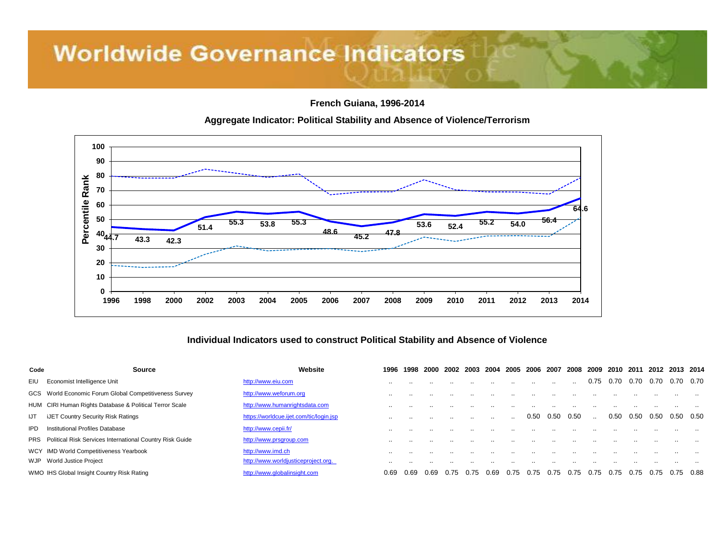**French Guiana, 1996-2014**



#### **Aggregate Indicator: Political Stability and Absence of Violence/Terrorism**

#### **Individual Indicators used to construct Political Stability and Absence of Violence**

| Code | Source                                                              | Website                                 | 1996 | 1998 | -2000 | 2002 | 2003 | 2004      | 2005      | -2006 | -2007     | 2008 | 2009 | 2010 | 2011 | 2012 | 2013 2014 |  |
|------|---------------------------------------------------------------------|-----------------------------------------|------|------|-------|------|------|-----------|-----------|-------|-----------|------|------|------|------|------|-----------|--|
| EIU  | Economist Intelligence Unit                                         | http://www.eiu.com                      |      |      |       |      |      |           |           |       | $\cdot$ . |      | 0.75 | 0.70 | 0.70 | 0.70 | 0.70 0.70 |  |
|      | GCS World Economic Forum Global Competitiveness Survey              | http://www.weforum.org                  |      |      |       |      |      |           |           |       |           |      |      |      |      |      |           |  |
|      | HUM CIRI Human Rights Database & Political Terror Scale             | http://www.humanrightsdata.com          |      |      |       |      |      |           |           |       |           |      |      |      |      |      |           |  |
| IJT  | iJET Country Security Risk Ratings                                  | https://worldcue.ijet.com/tic/login.jsp |      |      |       |      |      | $\cdot$ . | $\cdot$ . | 0.50  | 0.50      | 0.50 |      | 0.50 | 0.50 | 0.50 | 0.50 0.50 |  |
| IPD  | <b>Institutional Profiles Database</b>                              | http://www.cepii.fr/                    |      |      |       |      |      |           |           |       |           |      |      |      |      |      |           |  |
|      | <b>PRS</b> Political Risk Services International Country Risk Guide | http://www.prsgroup.com                 |      |      |       |      |      |           |           |       |           |      |      |      |      |      |           |  |
|      | WCY IMD World Competitiveness Yearbook                              | http://www.imd.ch                       |      |      |       |      |      |           |           |       |           |      |      |      |      |      |           |  |
|      | WJP World Justice Project                                           | http://www.worldjusticeproject.org.     |      |      |       |      |      |           |           |       |           |      |      |      |      |      |           |  |
|      | WMO IHS Global Insight Country Risk Rating                          | http://www.globalinsight.com            | 0.69 | 0.69 | 0.69  | 0.75 | 0.75 | 0.69      | 0.75      | 0.75  | 0.75      | 0.75 | 0.75 | 0.75 | 0.75 | 0.75 | 0.75 0.88 |  |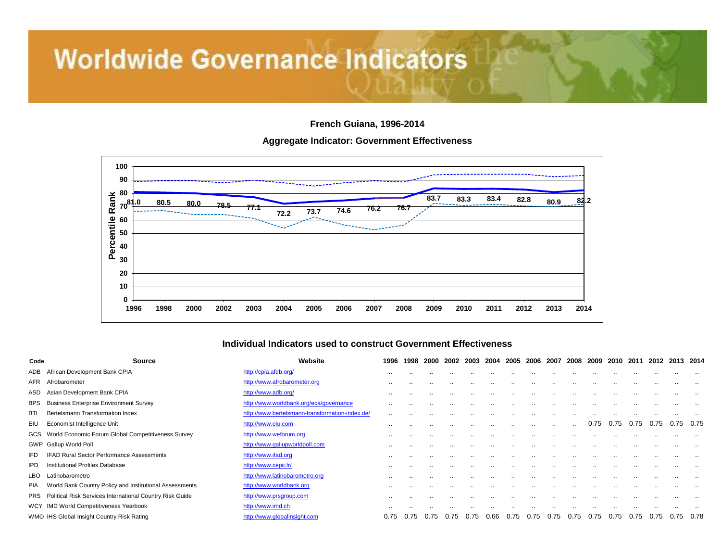**French Guiana, 1996-2014**

#### **Aggregate Indicator: Government Effectiveness**



#### **Individual Indicators used to construct Government Effectiveness**

| Code       | <b>Source</b>                                                | Website                                         | 1996      | 1998      | 2000 | 2002      | 2003      | 2004 2005 2006 |        |           | 2007      | 2008          | 2009      | 2010      | 2011 | 2012     | 2013 2014 |           |
|------------|--------------------------------------------------------------|-------------------------------------------------|-----------|-----------|------|-----------|-----------|----------------|--------|-----------|-----------|---------------|-----------|-----------|------|----------|-----------|-----------|
| ADB        | African Development Bank CPIA                                | http://cpia.afdb.org/                           | $\cdot$ . |           |      |           |           |                |        |           |           |               |           |           |      |          |           |           |
| AFR        | Afrobarometer                                                | http://www.afrobarometer.org                    | $\cdot$ . |           |      |           | $\cdot$ . |                |        |           |           |               |           |           |      |          |           | $\cdot$ . |
| ASD        | Asian Development Bank CPIA                                  | http://www.adb.org/                             | $\cdot$ . |           |      |           |           |                |        |           |           |               | . .       |           |      |          |           | $\cdot$ . |
| <b>BPS</b> | <b>Business Enterprise Environment Survey</b>                | http://www.worldbank.org/eca/governance         |           |           |      |           |           |                |        |           |           |               |           |           |      |          |           |           |
| <b>BTI</b> | Bertelsmann Transformation Index                             | http://www.bertelsmann-transformation-index.de/ |           |           |      |           |           |                |        |           |           |               |           |           |      |          |           |           |
| EIU        | Economist Intelligence Unit                                  | http://www.eiu.com                              | $\cdot$ . | $\cdot$ . |      | $\cdot$ . | $\sim$    | $\sim$         | $\sim$ | $\sim$    | $\sim$    | $\sim$ $\sim$ | 0.75      | 0.75      | 0.75 | 0.75     | 0.75      | 0.75      |
|            | GCS World Economic Forum Global Competitiveness Survey       | http://www.weforum.org                          |           |           |      |           | . .       |                |        |           | $\cdot$ . |               | $\cdot$ . |           |      |          |           |           |
|            | GWP Gallup World Poll                                        | http://www.gallupworldpoll.com                  |           |           |      |           |           |                |        |           |           |               |           |           |      |          |           |           |
| IFD        | <b>IFAD Rural Sector Performance Assessments</b>             | http://www.ifad.org                             | $\cdot$ . | $\cdot$ . |      | $\cdot$ . | $\sim$    | $\sim$         | $\sim$ | $\cdot$ . | $\cdots$  | $\cdot$ .     | $\cdot$ . | $\cdot$ . |      | $\sim$   |           | $\cdots$  |
| IPD.       | Institutional Profiles Database                              | http://www.cepii.fr/                            |           |           |      | $\cdot$ . | . .       |                |        |           | $\cdot$ . |               | . .       |           |      |          |           |           |
| LBO        | Latinobarometro                                              | http://www.latinobarometro.org                  | $\cdots$  |           |      |           |           |                |        |           |           | $\cdot$       |           |           |      |          |           |           |
| PIA.       | World Bank Country Policy and Institutional Assessments      | http://www.worldbank.org                        | $\cdot$ . |           |      |           |           |                |        |           |           |               |           |           |      |          |           |           |
|            | PRS Political Risk Services International Country Risk Guide | http://www.prsgroup.com                         |           |           |      |           |           |                |        |           |           |               |           |           |      | $\cdots$ |           |           |
|            | WCY IMD World Competitiveness Yearbook                       | http://www.imd.ch                               |           |           |      |           |           |                |        |           |           |               |           |           |      |          |           |           |
|            | WMO IHS Global Insight Country Risk Rating                   | http://www.globalinsight.com                    | 0.75      | 0.75      | 0.75 | 0.75      | 0.75      | 0.66           | 0.75   | 0.75      | 0.75      | 0.75          | 0.75      | 0.75      | 0.75 | 0.75     | 0.75      | 0.78      |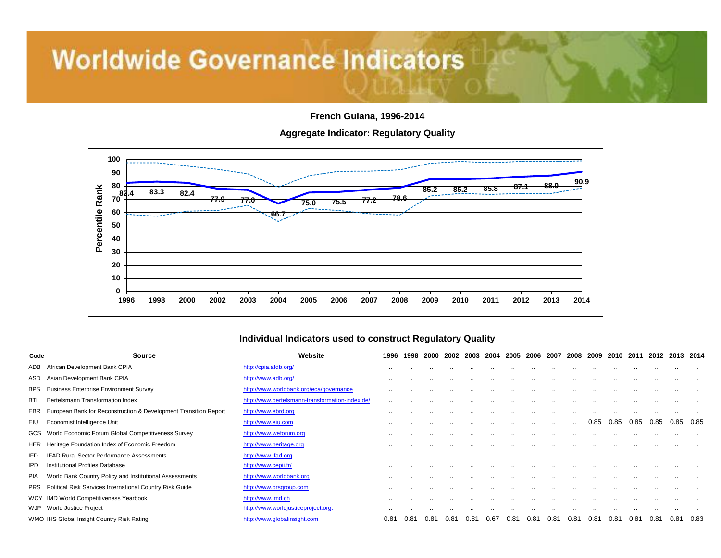**French Guiana, 1996-2014**

**Aggregate Indicator: Regulatory Quality**



#### **Individual Indicators used to construct Regulatory Quality**

| Code       | Source                                                           | Website                                         | 1996      | 1998          | 2000 | 2002          |     | 2003 2004 | 2005 2006 |               | 2007             | 2008          | 2009     | 2010 | -2011 | 2012      | 2013 2014 |           |
|------------|------------------------------------------------------------------|-------------------------------------------------|-----------|---------------|------|---------------|-----|-----------|-----------|---------------|------------------|---------------|----------|------|-------|-----------|-----------|-----------|
| ADB        | African Development Bank CPIA                                    | http://cpia.afdb.org/                           | $\cdot$ . |               |      |               |     |           |           |               |                  |               |          |      |       |           |           |           |
| ASD        | Asian Development Bank CPIA                                      | http://www.adb.org/                             | $\cdot$ . |               |      |               |     |           |           |               |                  |               | . .      |      |       | $\sim$    |           | $\cdot$ . |
| <b>BPS</b> | <b>Business Enterprise Environment Survey</b>                    | http://www.worldbank.org/eca/governance         |           |               |      |               |     |           |           |               |                  |               |          |      |       |           |           |           |
| BTI        | Bertelsmann Transformation Index                                 | http://www.bertelsmann-transformation-index.de/ | $\sim$    | $\cdot$ .     |      |               | . . |           |           |               |                  |               | . .      |      |       |           |           | $\cdot$ . |
| EBR        | European Bank for Reconstruction & Development Transition Report | http://www.ebrd.org                             | $\cdot$ . |               |      |               | . . |           | $\cdot$ . |               | $\cdot$ .        |               | $\cdots$ |      |       | $\sim$    |           |           |
| EIU        | Economist Intelligence Unit                                      | http://www.eiu.com                              |           |               |      |               |     |           |           | $\cdot$ .     | $\sim$           | $\sim$ $\sim$ | 0.85     | 0.85 | 0.85  | 0.85      | 0.85      | 0.85      |
|            | GCS World Economic Forum Global Competitiveness Survey           | http://www.weforum.org                          |           |               |      |               |     |           |           |               |                  |               |          |      |       |           |           |           |
| HER        | Heritage Foundation Index of Economic Freedom                    | http://www.heritage.org                         | $\cdot$ . |               |      |               |     |           |           |               |                  |               |          |      |       |           |           |           |
| IFD        | <b>IFAD Rural Sector Performance Assessments</b>                 | http://www.ifad.org                             | $\cdot$ . |               |      |               |     |           |           |               |                  |               |          |      |       |           |           |           |
| IPD        | Institutional Profiles Database                                  | http://www.cepii.fr/                            | $\cdot$ . |               |      |               |     |           |           |               |                  |               |          |      |       |           |           |           |
| <b>PIA</b> | World Bank Country Policy and Institutional Assessments          | http://www.worldbank.org                        | $\cdot$ . | $\cdot$ .     |      |               | . . |           |           |               |                  |               | . .      |      |       | $\cdot$ . |           |           |
| PRS        | Political Risk Services International Country Risk Guide         | http://www.prsgroup.com                         |           |               |      |               |     |           |           |               |                  |               |          |      |       |           |           |           |
|            | WCY IMD World Competitiveness Yearbook                           | http://www.imd.ch                               |           |               |      |               | . . |           |           |               |                  |               |          |      |       |           |           |           |
| WJP        | World Justice Project                                            | http://www.worldjusticeproject.org.             |           |               |      |               |     |           |           |               |                  |               |          |      |       |           |           |           |
|            | WMO IHS Global Insight Country Risk Rating                       | http://www.globalinsight.com                    | 0.81      | $0.8^{\circ}$ | 0.81 | $0.8^{\circ}$ | 0.8 | 0.67      | 0.81      | $0.8^{\circ}$ | 0.8 <sub>1</sub> | 0.81          | 0.81     | 0.81 | 0.81  | 0.81      | 0.81      | 0.83      |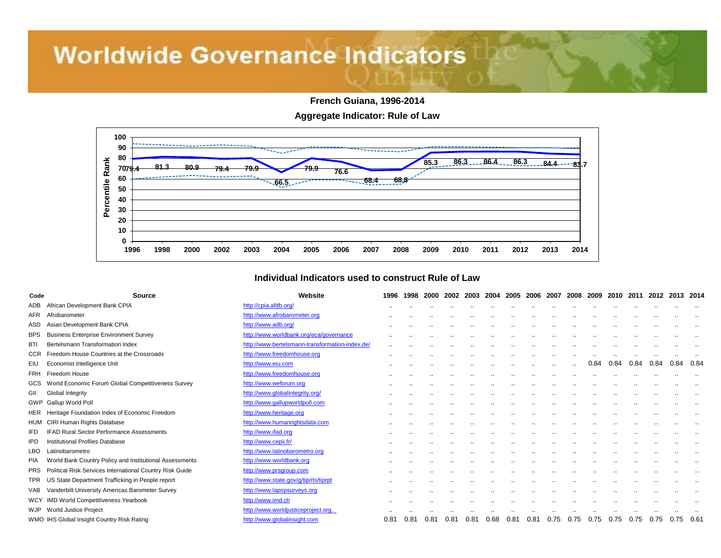**French Guiana, 1996-2014**

**Aggregate Indicator: Rule of Law**



#### **Individual Indicators used to construct Rule of Law**

| Code       | <b>Source</b>                                            | Website                                         | 1996                 | 1998 | 2000 | 2002                 | 2003      | 2004      | 2005 | 2006 | 2007                 | 2008      | 2009                 | 2010      | 2011          | 2012                 | 2013                 | 2014      |
|------------|----------------------------------------------------------|-------------------------------------------------|----------------------|------|------|----------------------|-----------|-----------|------|------|----------------------|-----------|----------------------|-----------|---------------|----------------------|----------------------|-----------|
| <b>ADB</b> | African Development Bank CPIA                            | http://cpia.afdb.org/                           | $\cdot$ .            |      |      | $\cdot$ .            | $\cdot$ . |           |      |      | $\cdot$ .            |           |                      |           |               |                      |                      |           |
| <b>AFR</b> | Afrobarometer                                            | http://www.afrobarometer.org                    |                      |      |      |                      |           |           |      |      |                      | $\cdot$ . | $\cdot$ .            |           | $\cdot$ .     | $\ddotsc$            | $\ddot{\phantom{a}}$ |           |
| ASD        | Asian Development Bank CPIA                              | http://www.adb.org/                             |                      |      |      |                      | ٠.        | $\cdot$ . |      |      |                      |           |                      |           |               |                      |                      |           |
| <b>BPS</b> | <b>Business Enterprise Environment Survey</b>            | http://www.worldbank.org/eca/governance         | $\ddotsc$            |      |      | $\ddot{\phantom{a}}$ |           |           |      |      |                      |           | $\ddot{\phantom{a}}$ |           |               | $\ddot{\phantom{a}}$ | $\cdot$ .            |           |
| <b>BTI</b> | Bertelsmann Transformation Index                         | http://www.bertelsmann-transformation-index.de/ |                      |      |      |                      |           |           |      |      |                      |           |                      |           |               |                      |                      |           |
| CCR        | Freedom House Countries at the Crossroads                | http://www.freedomhouse.org                     |                      |      |      |                      |           |           |      |      |                      | $\cdot$ . |                      |           |               |                      |                      |           |
| EIU        | Economist Intelligence Unit                              | http://www.eiu.com                              |                      |      |      |                      |           |           |      |      | $\ddot{\phantom{0}}$ | $\cdot$   | 0.84                 | 0.84      | 0.84          | 0.84                 | 0.84                 | 0.84      |
| FRH        | Freedom House                                            | http://www.freedomhouse.org                     | $\ddot{\phantom{a}}$ |      |      |                      |           | $\cdot$ . |      |      | $\cdots$             | $\cdot$ . |                      |           |               |                      |                      |           |
| GCS        | World Economic Forum Global Competitiveness Survey       | http://www.weforum.org                          | $\ddot{\phantom{a}}$ |      |      |                      |           |           |      |      | $\cdots$             | $\cdot$ . | $\cdot$ .            |           | $\cdot$ .     |                      | $\ddot{\phantom{a}}$ |           |
| GII        | Global Integrity                                         | http://www.globalintegrity.org/                 | $\cdot$ .            |      |      |                      | $\cdot$ . | $\cdot$ . |      |      | $\cdot$ .            |           |                      |           | $\cdot$ .     |                      | $\cdot$ .            |           |
|            | GWP Gallup World Poll                                    | http://www.gallupworldpoll.com                  | $\ddot{\phantom{a}}$ |      |      |                      |           | $\cdot$ . |      |      | $\cdot$ .            | $\cdot$ . | $\cdot$ .            |           | $\cdot$ .     |                      | $\cdot$ .            | $\cdot$ . |
| HER        | Heritage Foundation Index of Economic Freedom            | http://www.heritage.org                         | $\cdot$ .            |      |      |                      |           |           |      |      |                      |           |                      |           |               |                      |                      |           |
| HUM        | CIRI Human Rights Database                               | http://www.humanrightsdata.com                  | $\ddot{\phantom{a}}$ |      |      | $\cdot$ .            |           | $\cdot$ . |      |      |                      | $\cdot$ . | $\cdot$ .            | $\cdot$ . |               |                      | $\cdot$ .            |           |
| <b>IFD</b> | <b>IFAD Rural Sector Performance Assessments</b>         | http://www.ifad.org                             |                      |      |      |                      |           |           |      |      |                      |           |                      |           |               |                      |                      |           |
| <b>IPD</b> | <b>Institutional Profiles Database</b>                   | http://www.cepii.fr/                            | $\cdot$ .            |      |      |                      |           |           |      |      |                      |           |                      |           |               |                      |                      |           |
| <b>LBO</b> | Latinobarometro                                          | http://www.latinobarometro.org                  | ٠.                   |      |      |                      |           |           |      |      |                      |           |                      |           |               |                      |                      |           |
| <b>PIA</b> | World Bank Country Policy and Institutional Assessments  | http://www.worldbank.org                        | $\cdot$ .            |      |      |                      |           |           |      |      |                      |           |                      |           |               |                      |                      |           |
| <b>PRS</b> | Political Risk Services International Country Risk Guide | http://www.prsgroup.com                         |                      |      |      |                      |           |           |      |      |                      |           |                      |           |               |                      |                      |           |
| TPR        | US State Department Trafficking in People report         | http://www.state.gov/g/tip/rls/tiprpt           | $\ddot{\phantom{a}}$ |      |      | $\cdot$ .            |           | $\sim$    |      |      | $\cdots$             | $\cdot$ . | $\cdot$ .            |           | $\sim$ $\sim$ | $\cdot$ .            | $\ddot{\phantom{a}}$ |           |
| <b>VAB</b> | Vanderbilt University Americas Barometer Survey          | http://www.lapopsurveys.org                     | $\cdot$ .            |      |      | $\cdot$ .            | ٠.        | $\cdot$ . |      |      |                      | $\cdot$ . | $\cdot$ .            | $\cdot$ . | $\cdot$ .     | $\ddotsc$            | $\cdot$ .            | $\sim$    |
| <b>WCY</b> | <b>IMD World Competitiveness Yearbook</b>                | http://www.imd.ch                               | $\cdot$              |      |      |                      |           |           |      |      |                      |           |                      |           |               |                      |                      |           |
| WJP        | World Justice Project                                    | http://www.worldjusticeproject.org.             |                      |      |      |                      |           |           |      |      |                      |           |                      |           |               |                      |                      |           |
|            | WMO IHS Global Insight Country Risk Rating               | http://www.globalinsight.com                    | 0.81                 | 0.81 | 0.81 | 0.81                 | 0.81      | 0.68      | 0.81 | 0.81 | 0.75                 | 0.75      | 0.75                 | 0.75      | 0.75          | 0.75                 | 0.75 0.61            |           |